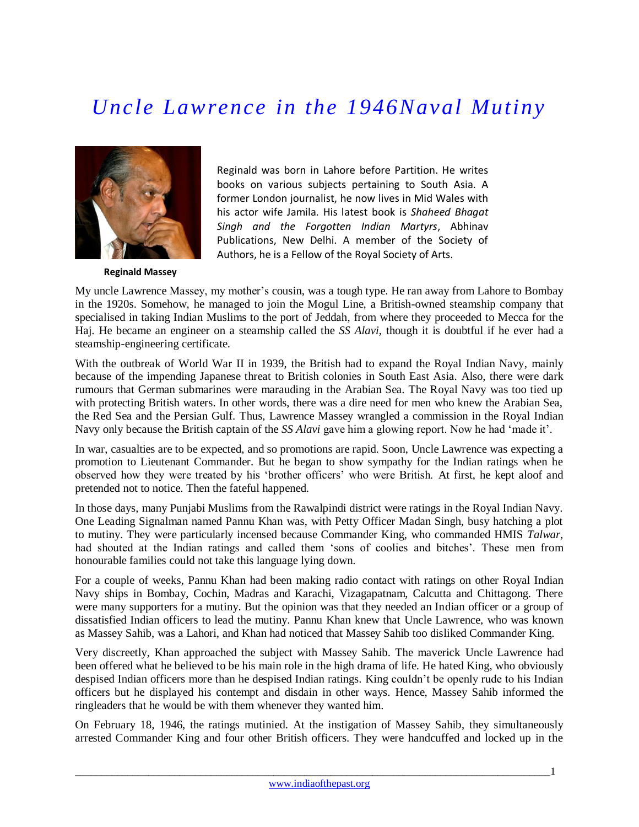## *Uncle Lawrence in the 1946Naval Mutiny*



Reginald was born in Lahore before Partition. He writes books on various subjects pertaining to South Asia. A former London journalist, he now lives in Mid Wales with his actor wife Jamila. His latest book is *Shaheed Bhagat Singh and the Forgotten Indian Martyrs*, Abhinav Publications, New Delhi. A member of the Society of Authors, he is a Fellow of the Royal Society of Arts.

**Reginald Massey**

My uncle Lawrence Massey, my mother's cousin, was a tough type. He ran away from Lahore to Bombay in the 1920s. Somehow, he managed to join the Mogul Line, a British-owned steamship company that specialised in taking Indian Muslims to the port of Jeddah, from where they proceeded to Mecca for the Haj. He became an engineer on a steamship called the *SS Alavi*, though it is doubtful if he ever had a steamship-engineering certificate.

With the outbreak of World War II in 1939, the British had to expand the Royal Indian Navy, mainly because of the impending Japanese threat to British colonies in South East Asia. Also, there were dark rumours that German submarines were marauding in the Arabian Sea. The Royal Navy was too tied up with protecting British waters. In other words, there was a dire need for men who knew the Arabian Sea, the Red Sea and the Persian Gulf. Thus, Lawrence Massey wrangled a commission in the Royal Indian Navy only because the British captain of the *SS Alavi* gave him a glowing report. Now he had 'made it'.

In war, casualties are to be expected, and so promotions are rapid. Soon, Uncle Lawrence was expecting a promotion to Lieutenant Commander. But he began to show sympathy for the Indian ratings when he observed how they were treated by his 'brother officers' who were British. At first, he kept aloof and pretended not to notice. Then the fateful happened.

In those days, many Punjabi Muslims from the Rawalpindi district were ratings in the Royal Indian Navy. One Leading Signalman named Pannu Khan was, with Petty Officer Madan Singh, busy hatching a plot to mutiny. They were particularly incensed because Commander King, who commanded HMIS *Talwar*, had shouted at the Indian ratings and called them 'sons of coolies and bitches'. These men from honourable families could not take this language lying down.

For a couple of weeks, Pannu Khan had been making radio contact with ratings on other Royal Indian Navy ships in Bombay, Cochin, Madras and Karachi, Vizagapatnam, Calcutta and Chittagong. There were many supporters for a mutiny. But the opinion was that they needed an Indian officer or a group of dissatisfied Indian officers to lead the mutiny. Pannu Khan knew that Uncle Lawrence, who was known as Massey Sahib, was a Lahori, and Khan had noticed that Massey Sahib too disliked Commander King.

Very discreetly, Khan approached the subject with Massey Sahib. The maverick Uncle Lawrence had been offered what he believed to be his main role in the high drama of life. He hated King, who obviously despised Indian officers more than he despised Indian ratings. King couldn't be openly rude to his Indian officers but he displayed his contempt and disdain in other ways. Hence, Massey Sahib informed the ringleaders that he would be with them whenever they wanted him.

On February 18, 1946, the ratings mutinied. At the instigation of Massey Sahib, they simultaneously arrested Commander King and four other British officers. They were handcuffed and locked up in the